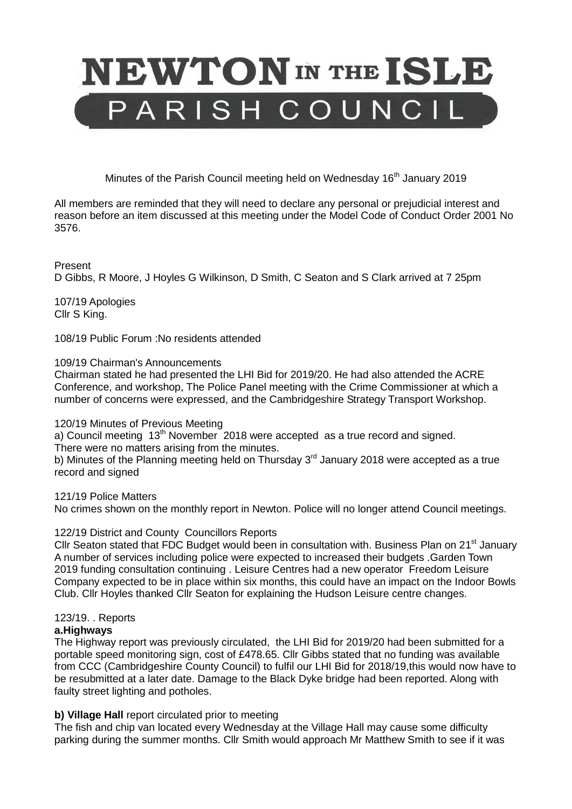# NEWTON IN THE ISLE PARISH COUNCIL

Minutes of the Parish Council meeting held on Wednesday 16<sup>th</sup> January 2019

All members are reminded that they will need to declare any personal or prejudicial interest and reason before an item discussed at this meeting under the Model Code of Conduct Order 2001 No 3576.

Present

D Gibbs, R Moore, J Hoyles G Wilkinson, D Smith, C Seaton and S Clark arrived at 7 25pm

107/19 Apologies Cllr S King.

108/19 Public Forum :No residents attended

#### 109/19 Chairman's Announcements

Chairman stated he had presented the LHI Bid for 2019/20. He had also attended the ACRE Conference, and workshop, The Police Panel meeting with the Crime Commissioner at which a number of concerns were expressed, and the Cambridgeshire Strategy Transport Workshop.

## 120/19 Minutes of Previous Meeting

a) Council meeting 13<sup>th</sup> November 2018 were accepted as a true record and signed. There were no matters arising from the minutes.

b) Minutes of the Planning meeting held on Thursday 3<sup>rd</sup> January 2018 were accepted as a true record and signed

121/19 Police Matters

No crimes shown on the monthly report in Newton. Police will no longer attend Council meetings.

#### 122/19 District and County Councillors Reports

Cllr Seaton stated that FDC Budget would been in consultation with. Business Plan on 21<sup>st</sup> January A number of services including police were expected to increased their budgets .Garden Town 2019 funding consultation continuing . Leisure Centres had a new operator Freedom Leisure Company expected to be in place within six months, this could have an impact on the Indoor Bowls Club. Cllr Hoyles thanked Cllr Seaton for explaining the Hudson Leisure centre changes.

## 123/19. . Reports

#### **a.Highways**

The Highway report was previously circulated, the LHI Bid for 2019/20 had been submitted for a portable speed monitoring sign, cost of £478.65. Cllr Gibbs stated that no funding was available from CCC (Cambridgeshire County Council) to fulfil our LHI Bid for 2018/19,this would now have to be resubmitted at a later date. Damage to the Black Dyke bridge had been reported. Along with faulty street lighting and potholes.

## **b) Village Hall** report circulated prior to meeting

The fish and chip van located every Wednesday at the Village Hall may cause some difficulty parking during the summer months. Cllr Smith would approach Mr Matthew Smith to see if it was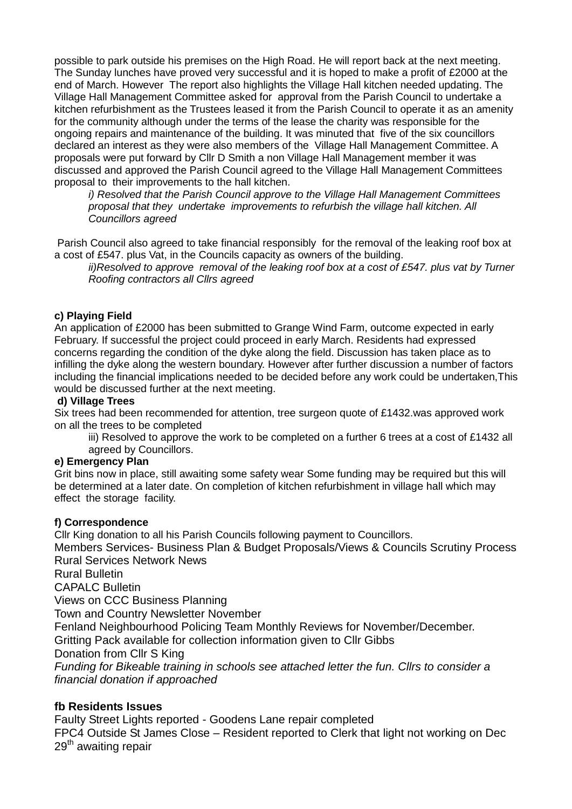possible to park outside his premises on the High Road. He will report back at the next meeting. The Sunday lunches have proved very successful and it is hoped to make a profit of £2000 at the end of March. However The report also highlights the Village Hall kitchen needed updating. The Village Hall Management Committee asked for approval from the Parish Council to undertake a kitchen refurbishment as the Trustees leased it from the Parish Council to operate it as an amenity for the community although under the terms of the lease the charity was responsible for the ongoing repairs and maintenance of the building. It was minuted that five of the six councillors declared an interest as they were also members of the Village Hall Management Committee. A proposals were put forward by Cllr D Smith a non Village Hall Management member it was discussed and approved the Parish Council agreed to the Village Hall Management Committees proposal to their improvements to the hall kitchen.

*i) Resolved that the Parish Council approve to the Village Hall Management Committees proposal that they undertake improvements to refurbish the village hall kitchen. All Councillors agreed* 

Parish Council also agreed to take financial responsibly for the removal of the leaking roof box at a cost of £547. plus Vat, in the Councils capacity as owners of the building.

*ii)Resolved to approve removal of the leaking roof box at a cost of £547. plus vat by Turner Roofing contractors all Cllrs agreed*

## **c) Playing Field**

An application of £2000 has been submitted to Grange Wind Farm, outcome expected in early February. If successful the project could proceed in early March. Residents had expressed concerns regarding the condition of the dyke along the field. Discussion has taken place as to infilling the dyke along the western boundary. However after further discussion a number of factors including the financial implications needed to be decided before any work could be undertaken,This would be discussed further at the next meeting.

#### **d) Village Trees**

Six trees had been recommended for attention, tree surgeon quote of £1432.was approved work on all the trees to be completed

iii) Resolved to approve the work to be completed on a further 6 trees at a cost of £1432 all agreed by Councillors.

#### **e) Emergency Plan**

Grit bins now in place, still awaiting some safety wear Some funding may be required but this will be determined at a later date. On completion of kitchen refurbishment in village hall which may effect the storage facility.

#### **f) Correspondence**

Cllr King donation to all his Parish Councils following payment to Councillors. Members Services- Business Plan & Budget Proposals/Views & Councils Scrutiny Process Rural Services Network News Rural Bulletin CAPALC Bulletin Views on CCC Business Planning Town and Country Newsletter November Fenland Neighbourhood Policing Team Monthly Reviews for November/December. Gritting Pack available for collection information given to Cllr Gibbs Donation from Cllr S King *Funding for Bikeable training in schools see attached letter the fun. Cllrs to consider a financial donation if approached*

## **fb Residents Issues**

Faulty Street Lights reported - Goodens Lane repair completed FPC4 Outside St James Close – Resident reported to Clerk that light not working on Dec 29<sup>th</sup> awaiting repair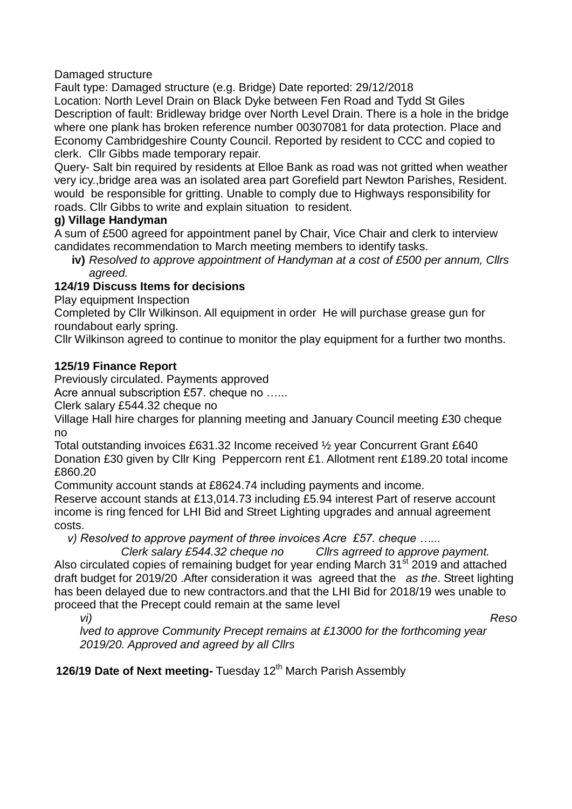Damaged structure

Fault type: Damaged structure (e.g. Bridge) Date reported: 29/12/2018 Location: North Level Drain on Black Dyke between Fen Road and Tydd St Giles Description of fault: Bridleway bridge over North Level Drain. There is a hole in the bridge where one plank has broken reference number 00307081 for data protection. Place and Economy Cambridgeshire County Council. Reported by resident to CCC and copied to clerk. Cllr Gibbs made temporary repair.

Query- Salt bin required by residents at Elloe Bank as road was not gritted when weather very icy.,bridge area was an isolated area part Gorefield part Newton Parishes, Resident. would be responsible for gritting. Unable to comply due to Highways responsibility for roads. Cllr Gibbs to write and explain situation to resident.

# **g) Village Handyman**

A sum of £500 agreed for appointment panel by Chair, Vice Chair and clerk to interview candidates recommendation to March meeting members to identify tasks.

**iv)** *Resolved to approve appointment of Handyman at a cost of £500 per annum, Cllrs agreed.*

# **124/19 Discuss Items for decisions**

Play equipment Inspection

Completed by Cllr Wilkinson. All equipment in order He will purchase grease gun for roundabout early spring.

Cllr Wilkinson agreed to continue to monitor the play equipment for a further two months.

# **125/19 Finance Report**

Previously circulated. Payments approved

Acre annual subscription £57. cheque no ......

Clerk salary £544.32 cheque no

Village Hall hire charges for planning meeting and January Council meeting £30 cheque no

Total outstanding invoices £631.32 Income received ½ year Concurrent Grant £640 Donation £30 given by Cllr King Peppercorn rent £1. Allotment rent £189.20 total income £860.20

Community account stands at £8624.74 including payments and income.

Reserve account stands at £13,014.73 including £5.94 interest Part of reserve account income is ring fenced for LHI Bid and Street Lighting upgrades and annual agreement costs.

 *v) Resolved to approve payment of three invoices Acre £57. cheque …...*

 *Clerk salary £544.32 cheque no Cllrs agrreed to approve payment.* Also circulated copies of remaining budget for year ending March 31<sup>st</sup> 2019 and attached draft budget for 2019/20 .After consideration it was agreed that the *as the*. Street lighting has been delayed due to new contractors.and that the LHI Bid for 2018/19 wes unable to proceed that the Precept could remain at the same level

*vi) Reso*

*lved to approve Community Precept remains at £13000 for the forthcoming year 2019/20. Approved and agreed by all Cllrs*

**126/19 Date of Next meeting-** Tuesday 12<sup>th</sup> March Parish Assembly